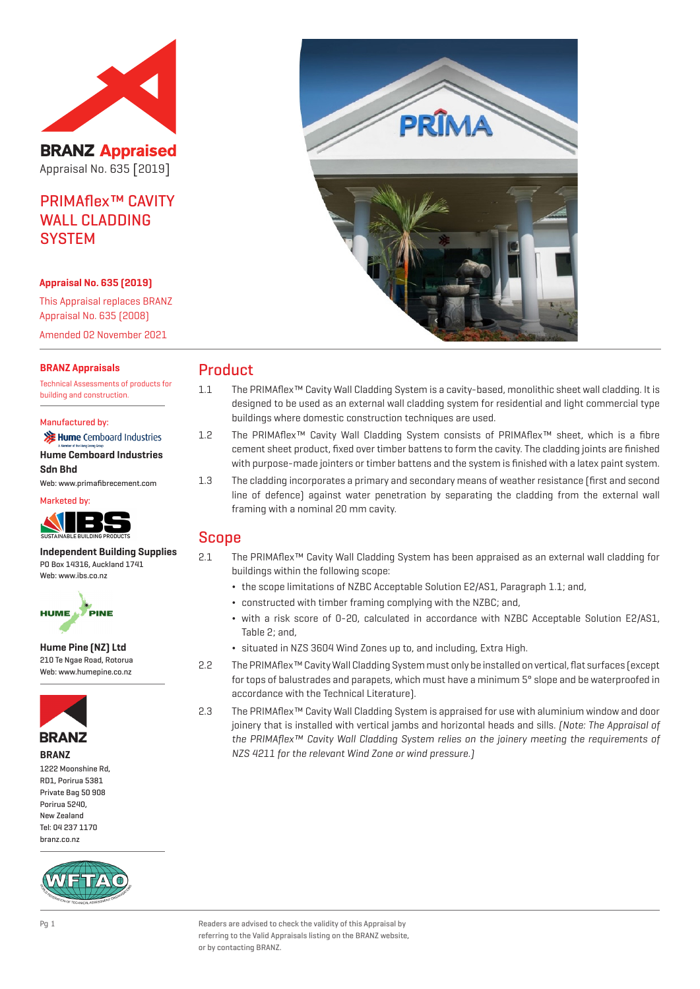

**BRANZ Appraised** Appraisal No. 635 [2019]

# PRIMAflex™ CAVITY WALL CLADDING **SYSTEM**

#### **Appraisal No. 635 (2019)**

This Appraisal replaces BRANZ Appraisal No. 635 (2008) Amended 02 November 2021

#### **BRANZ Appraisals**

Technical Assessments of products for building and construction.

#### Manufactured by:

| <b>X</b> Hume Cemboard Industries<br>A Member of the Hong Leong Group |
|-----------------------------------------------------------------------|
| <b>Hume Cemboard Industries</b>                                       |
| <b>Sdn Bhd</b>                                                        |
| Web: www.primafibrecement.com                                         |





**Independent Building Supplies** PO Box 14316, Auckland 1741 Web: www.jbs.co.nz



**Hume Pine (NZ) Ltd** 210 Te Ngae Road, Rotorua Web: www.humepine.co.nz



**BRANZ**

1222 Moonshine Rd, RD1, Porirua 5381 Private Bag 50 908 Porirua 5240, New Zealand Tel: 04 237 1170 branz.co.nz





## Product

- 1.1 The PRIMAflex™ Cavity Wall Cladding System is a cavity-based, monolithic sheet wall cladding. It is designed to be used as an external wall cladding system for residential and light commercial type buildings where domestic construction techniques are used.
- 1.2 The PRIMAflex™ Cavity Wall Cladding System consists of PRIMAflex™ sheet, which is a fibre cement sheet product, fixed over timber battens to form the cavity. The cladding joints are finished with purpose-made jointers or timber battens and the system is finished with a latex paint system.
- 1.3 The cladding incorporates a primary and secondary means of weather resistance (first and second line of defence) against water penetration by separating the cladding from the external wall framing with a nominal 20 mm cavity.

## Scope

- 2.1 The PRIMAflex™ Cavity Wall Cladding System has been appraised as an external wall cladding for buildings within the following scope:
	- ¬ the scope limitations of NZBC Acceptable Solution E2/AS1, Paragraph 1.1; and,
	- ¬ constructed with timber framing complying with the NZBC; and,
	- ¬ with a risk score of 0-20, calculated in accordance with NZBC Acceptable Solution E2/AS1, Table 2; and,
	- ¬ situated in NZS 3604 Wind Zones up to, and including, Extra High.
- 2.2 The PRIMAflex™ Cavity Wall Cladding System must only be installed on vertical, flat surfaces (except for tops of balustrades and parapets, which must have a minimum 5° slope and be waterproofed in accordance with the Technical Literature).
- 2.3 The PRIMAflex™ Cavity Wall Cladding System is appraised for use with aluminium window and door joinery that is installed with vertical jambs and horizontal heads and sills. (Note: The Appraisal of the PRIMAflex™ Cavity Wall Cladding System relies on the joinery meeting the requirements of NZS 4211 for the relevant Wind Zone or wind pressure.)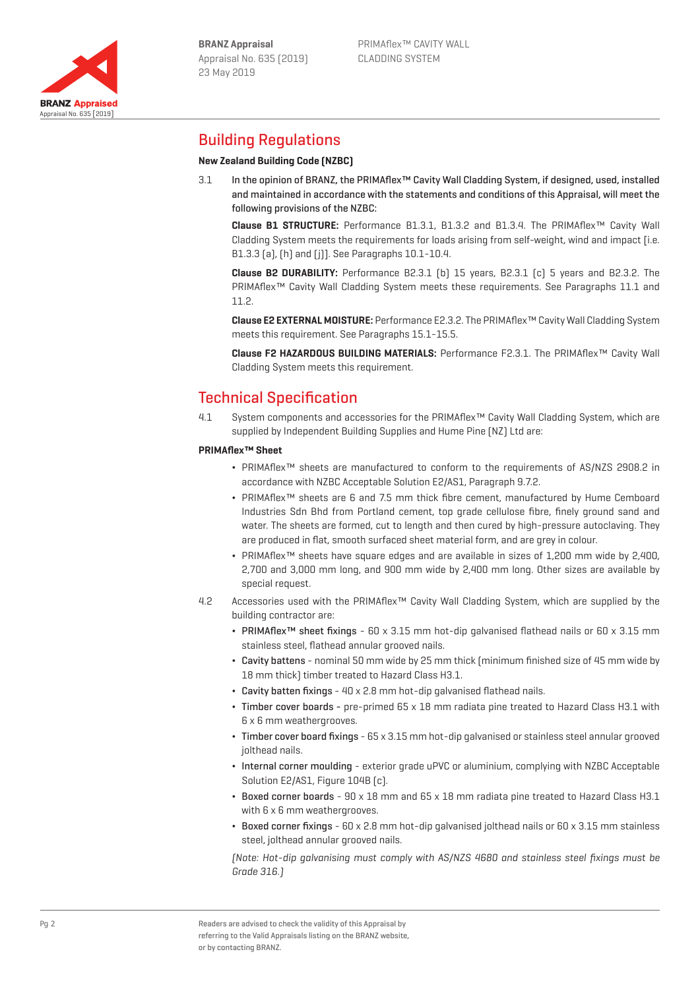

# Building Regulations

## **New Zealand Building Code (NZBC)**

3.1 In the opinion of BRANZ, the PRIMAflex™ Cavity Wall Cladding System, if designed, used, installed and maintained in accordance with the statements and conditions of this Appraisal, will meet the following provisions of the NZBC:

**Clause B1 STRUCTURE:** Performance B1.3.1, B1.3.2 and B1.3.4. The PRIMAflex™ Cavity Wall Cladding System meets the requirements for loads arising from self-weight, wind and impact [i.e. B1.3.3 (a), (h) and (j)]. See Paragraphs 10.1-10.4.

**Clause B2 DURABILITY:** Performance B2.3.1 (b) 15 years, B2.3.1 (c) 5 years and B2.3.2. The PRIMAflex™ Cavity Wall Cladding System meets these requirements. See Paragraphs 11.1 and 11.2.

**Clause E2 EXTERNAL MOISTURE:** Performance E2.3.2. The PRIMAflex™ Cavity Wall Cladding System meets this requirement. See Paragraphs 15.1-15.5.

**Clause F2 HAZARDOUS BUILDING MATERIALS:** Performance F2.3.1. The PRIMAflex™ Cavity Wall Cladding System meets this requirement.

# Technical Specification

4.1 System components and accessories for the PRIMAflex™ Cavity Wall Cladding System, which are supplied by Independent Building Supplies and Hume Pine (NZ) Ltd are:

#### **PRIMAflex™ Sheet**

- ¬ PRIMAflex™ sheets are manufactured to conform to the requirements of AS/NZS 2908.2 in accordance with NZBC Acceptable Solution E2/AS1, Paragraph 9.7.2.
- ¬ PRIMAflex™ sheets are 6 and 7.5 mm thick fibre cement, manufactured by Hume Cemboard Industries Sdn Bhd from Portland cement, top grade cellulose fibre, finely ground sand and water. The sheets are formed, cut to length and then cured by high-pressure autoclaving. They are produced in flat, smooth surfaced sheet material form, and are grey in colour.
- ¬ PRIMAflex™ sheets have square edges and are available in sizes of 1,200 mm wide by 2,400, 2,700 and 3,000 mm long, and 900 mm wide by 2,400 mm long. Other sizes are available by special request.
- 4.2 Accessories used with the PRIMAflex™ Cavity Wall Cladding System, which are supplied by the building contractor are:
	- ¬ PRIMAflex™ sheet fixings 60 x 3.15 mm hot-dip galvanised flathead nails or 60 x 3.15 mm stainless steel, flathead annular grooved nails.
	- ¬ Cavity battens nominal 50 mm wide by 25 mm thick (minimum finished size of 45 mm wide by 18 mm thick) timber treated to Hazard Class H3.1.
	- ¬ Cavity batten fixings 40 x 2.8 mm hot-dip galvanised flathead nails.
	- ¬ Timber cover boards pre-primed 65 x 18 mm radiata pine treated to Hazard Class H3.1 with 6 x 6 mm weathergrooves.
	- ¬ Timber cover board fixings 65 x 3.15 mm hot-dip galvanised or stainless steel annular grooved jolthead nails.
	- ¬ Internal corner moulding exterior grade uPVC or aluminium, complying with NZBC Acceptable Solution E2/AS1, Figure 104B [c].
	- $\cdot$  Boxed corner boards 90 x 18 mm and 65 x 18 mm radiata pine treated to Hazard Class H3.1 with 6 x 6 mm weathergrooves.
	- ¬ Boxed corner fixings 60 x 2.8 mm hot-dip galvanised jolthead nails or 60 x 3.15 mm stainless steel, jolthead annular grooved nails.

(Note: Hot-dip galvanising must comply with AS/NZS 4680 and stainless steel fixings must be Grade 316.)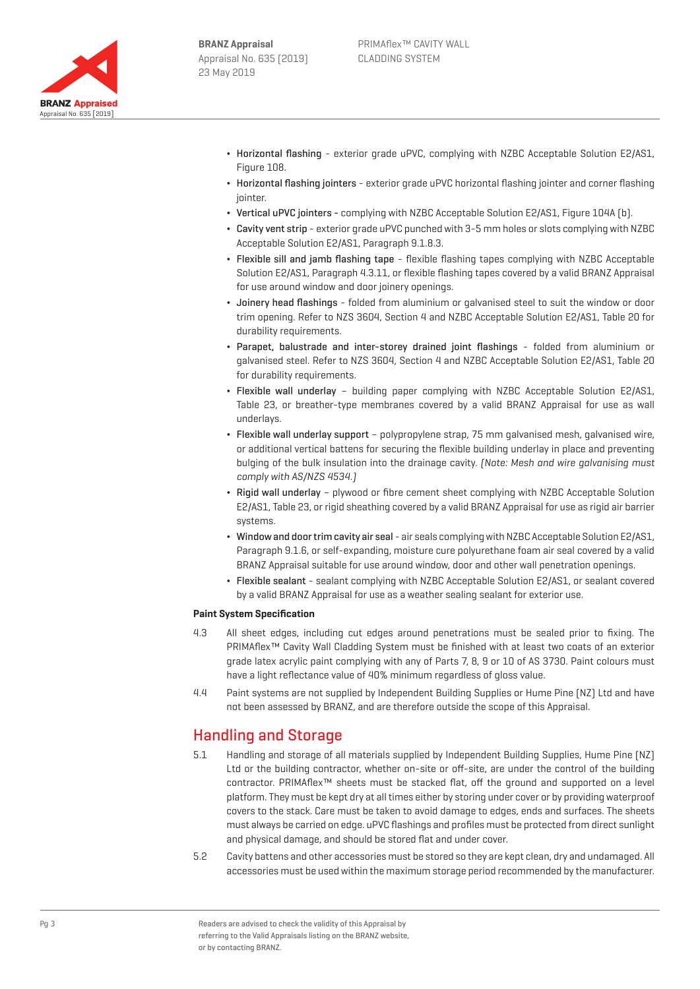

- ¬ Horizontal flashing exterior grade uPVC, complying with NZBC Acceptable Solution E2/AS1, Figure 108.
- ¬ Horizontal flashing jointers exterior grade uPVC horizontal flashing jointer and corner flashing jointer.
- ¬ Vertical uPVC jointers complying with NZBC Acceptable Solution E2/AS1, Figure 104A (b).
- ¬ Cavity vent strip exterior grade uPVC punched with 3-5 mm holes or slots complying with NZBC Acceptable Solution E2/AS1, Paragraph 9.1.8.3.
- ¬ Flexible sill and jamb flashing tape flexible flashing tapes complying with NZBC Acceptable Solution E2/AS1, Paragraph 4.3.11, or flexible flashing tapes covered by a valid BRANZ Appraisal for use around window and door joinery openings.
- ¬ Joinery head flashings folded from aluminium or galvanised steel to suit the window or door trim opening. Refer to NZS 3604, Section 4 and NZBC Acceptable Solution E2/AS1, Table 20 for durability requirements.
- ¬ Parapet, balustrade and inter-storey drained joint flashings folded from aluminium or galvanised steel. Refer to NZS 3604, Section 4 and NZBC Acceptable Solution E2/AS1, Table 20 for durability requirements.
- ¬ Flexible wall underlay building paper complying with NZBC Acceptable Solution E2/AS1, Table 23, or breather-type membranes covered by a valid BRANZ Appraisal for use as wall underlays.
- ¬ Flexible wall underlay support polypropylene strap, 75 mm galvanised mesh, galvanised wire, or additional vertical battens for securing the flexible building underlay in place and preventing bulging of the bulk insulation into the drainage cavity. (Note: Mesh and wire galvanising must comply with AS/NZS 4534.)
- ¬ Rigid wall underlay plywood or fibre cement sheet complying with NZBC Acceptable Solution E2/AS1, Table 23, or rigid sheathing covered by a valid BRANZ Appraisal for use as rigid air barrier systems.
- ¬ Window and door trim cavity air seal air seals complying with NZBC Acceptable Solution E2/AS1, Paragraph 9.1.6, or self-expanding, moisture cure polyurethane foam air seal covered by a valid BRANZ Appraisal suitable for use around window, door and other wall penetration openings.
- ¬ Flexible sealant sealant complying with NZBC Acceptable Solution E2/AS1, or sealant covered by a valid BRANZ Appraisal for use as a weather sealing sealant for exterior use.

#### **Paint System Specification**

- 4.3 All sheet edges, including cut edges around penetrations must be sealed prior to fixing. The PRIMAflex™ Cavity Wall Cladding System must be finished with at least two coats of an exterior grade latex acrylic paint complying with any of Parts 7, 8, 9 or 10 of AS 3730. Paint colours must have a light reflectance value of 40% minimum regardless of gloss value.
- 4.4 Paint systems are not supplied by Independent Building Supplies or Hume Pine (NZ) Ltd and have not been assessed by BRANZ, and are therefore outside the scope of this Appraisal.

## Handling and Storage

- 5.1 Handling and storage of all materials supplied by Independent Building Supplies, Hume Pine (NZ) Ltd or the building contractor, whether on-site or off-site, are under the control of the building contractor. PRIMAflex™ sheets must be stacked flat, off the ground and supported on a level platform. They must be kept dry at all times either by storing under cover or by providing waterproof covers to the stack. Care must be taken to avoid damage to edges, ends and surfaces. The sheets must always be carried on edge. uPVC flashings and profiles must be protected from direct sunlight and physical damage, and should be stored flat and under cover.
- 5.2 Cavity battens and other accessories must be stored so they are kept clean, dry and undamaged. All accessories must be used within the maximum storage period recommended by the manufacturer.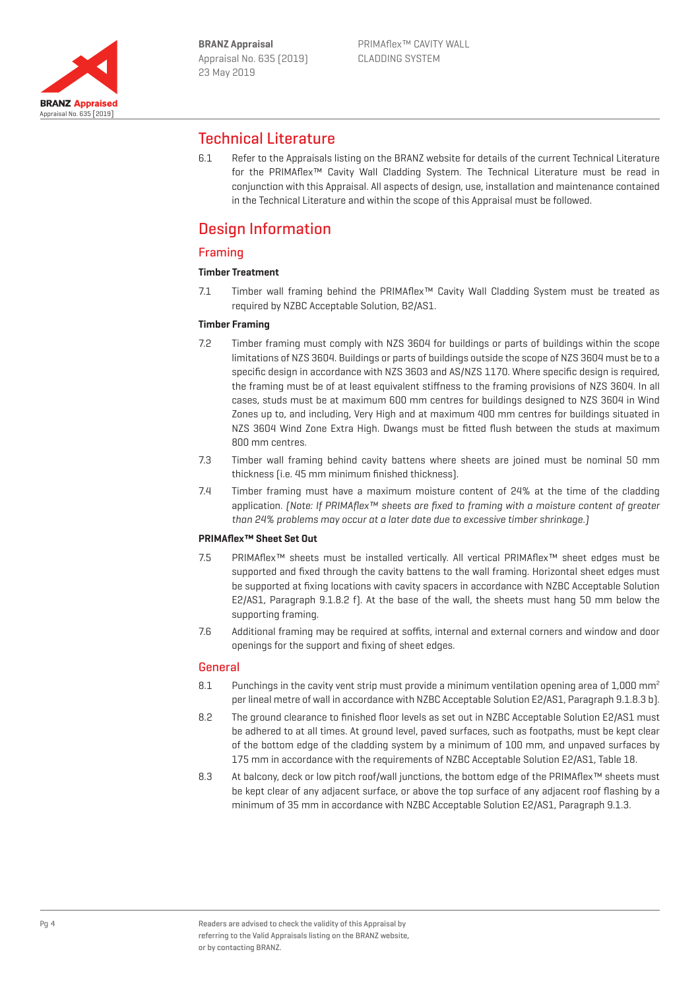

## Technical Literature

6.1 Refer to the Appraisals listing on the BRANZ website for details of the current Technical Literature for the PRIMAflex™ Cavity Wall Cladding System. The Technical Literature must be read in conjunction with this Appraisal. All aspects of design, use, installation and maintenance contained in the Technical Literature and within the scope of this Appraisal must be followed.

# Design Information

## Framing

### **Timber Treatment**

7.1 Timber wall framing behind the PRIMAflex™ Cavity Wall Cladding System must be treated as required by NZBC Acceptable Solution, B2/AS1.

#### **Timber Framing**

- 7.2 Timber framing must comply with NZS 3604 for buildings or parts of buildings within the scope limitations of NZS 3604. Buildings or parts of buildings outside the scope of NZS 3604 must be to a specific design in accordance with NZS 3603 and AS/NZS 1170. Where specific design is required, the framing must be of at least equivalent stiffness to the framing provisions of NZS 3604. In all cases, studs must be at maximum 600 mm centres for buildings designed to NZS 3604 in Wind Zones up to, and including, Very High and at maximum 400 mm centres for buildings situated in NZS 3604 Wind Zone Extra High. Dwangs must be fitted flush between the studs at maximum 800 mm centres.
- 7.3 Timber wall framing behind cavity battens where sheets are joined must be nominal 50 mm thickness (i.e. 45 mm minimum finished thickness).
- 7.4 Timber framing must have a maximum moisture content of 24% at the time of the cladding application. [Note: If PRIMAflex™ sheets are fixed to framing with a moisture content of greater than 24% problems may occur at a later date due to excessive timber shrinkage.)

#### **PRIMAflex™ Sheet Set Out**

- 7.5 PRIMAflex™ sheets must be installed vertically. All vertical PRIMAflex™ sheet edges must be supported and fixed through the cavity battens to the wall framing. Horizontal sheet edges must be supported at fixing locations with cavity spacers in accordance with NZBC Acceptable Solution E2/AS1, Paragraph 9.1.8.2 f). At the base of the wall, the sheets must hang 50 mm below the supporting framing.
- 7.6 Additional framing may be required at soffits, internal and external corners and window and door openings for the support and fixing of sheet edges.

#### **General**

- 8.1 Punchings in the cavity vent strip must provide a minimum ventilation opening area of 1,000 mm<sup>2</sup> per lineal metre of wall in accordance with NZBC Acceptable Solution E2/AS1, Paragraph 9.1.8.3 b).
- 8.2 The ground clearance to finished floor levels as set out in NZBC Acceptable Solution E2/AS1 must be adhered to at all times. At ground level, paved surfaces, such as footpaths, must be kept clear of the bottom edge of the cladding system by a minimum of 100 mm, and unpaved surfaces by 175 mm in accordance with the requirements of NZBC Acceptable Solution E2/AS1, Table 18.
- 8.3 At balcony, deck or low pitch roof/wall junctions, the bottom edge of the PRIMAflex™ sheets must be kept clear of any adjacent surface, or above the top surface of any adjacent roof flashing by a minimum of 35 mm in accordance with NZBC Acceptable Solution E2/AS1, Paragraph 9.1.3.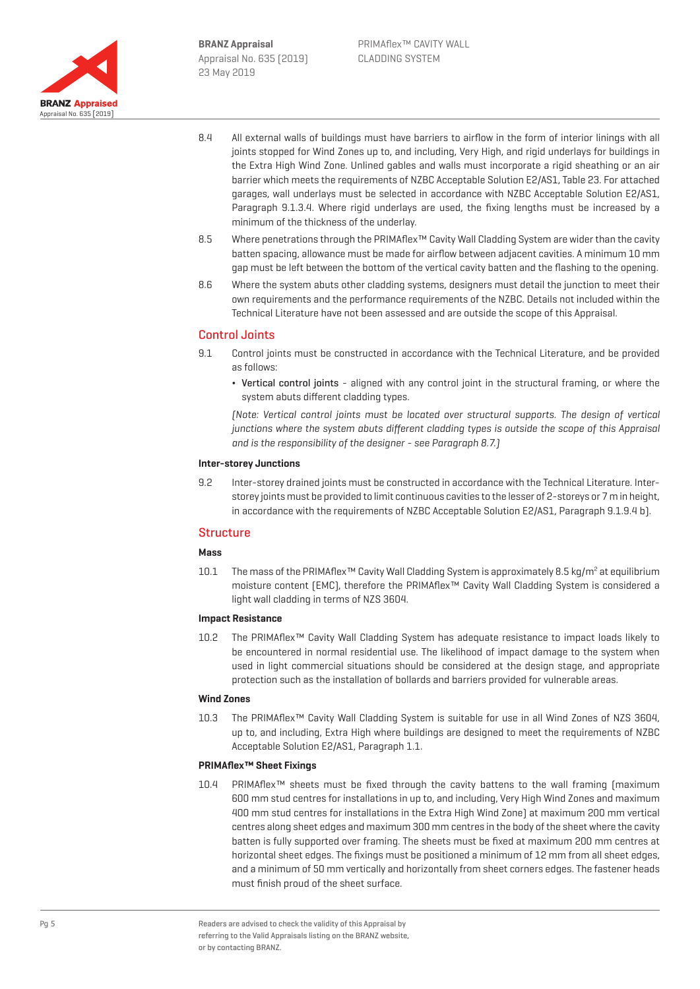

- 8.4 All external walls of buildings must have barriers to airflow in the form of interior linings with all joints stopped for Wind Zones up to, and including, Very High, and rigid underlays for buildings in the Extra High Wind Zone. Unlined gables and walls must incorporate a rigid sheathing or an air barrier which meets the requirements of NZBC Acceptable Solution E2/AS1, Table 23. For attached garages, wall underlays must be selected in accordance with NZBC Acceptable Solution E2/AS1, Paragraph 9.1.3.4. Where rigid underlays are used, the fixing lengths must be increased by a minimum of the thickness of the underlay.
- 8.5 Where penetrations through the PRIMAflex™ Cavity Wall Cladding System are wider than the cavity batten spacing, allowance must be made for airflow between adjacent cavities. A minimum 10 mm gap must be left between the bottom of the vertical cavity batten and the flashing to the opening.
- 8.6 Where the system abuts other cladding systems, designers must detail the junction to meet their own requirements and the performance requirements of the NZBC. Details not included within the Technical Literature have not been assessed and are outside the scope of this Appraisal.

## Control Joints

- 9.1 Control joints must be constructed in accordance with the Technical Literature, and be provided as follows:
	- Vertical control joints aligned with any control joint in the structural framing, or where the system abuts different cladding types.

(Note: Vertical control joints must be located over structural supports. The design of vertical junctions where the system abuts different cladding types is outside the scope of this Appraisal and is the responsibility of the designer - see Paragraph 8.7.)

#### **Inter-storey Junctions**

9.2 Inter-storey drained joints must be constructed in accordance with the Technical Literature. Interstorey joints must be provided to limit continuous cavities to the lesser of 2-storeys or 7 m in height, in accordance with the requirements of NZBC Acceptable Solution E2/AS1, Paragraph 9.1.9.4 b).

#### **Structure**

#### **Mass**

10.1 The mass of the PRIMAflex™ Cavity Wall Cladding System is approximately 8.5 kg/m<sup>2</sup> at equilibrium moisture content (EMC), therefore the PRIMAflex™ Cavity Wall Cladding System is considered a light wall cladding in terms of NZS 3604.

#### **Impact Resistance**

10.2 The PRIMAflex™ Cavity Wall Cladding System has adequate resistance to impact loads likely to be encountered in normal residential use. The likelihood of impact damage to the system when used in light commercial situations should be considered at the design stage, and appropriate protection such as the installation of bollards and barriers provided for vulnerable areas.

#### **Wind Zones**

10.3 The PRIMAflex™ Cavity Wall Cladding System is suitable for use in all Wind Zones of NZS 3604, up to, and including, Extra High where buildings are designed to meet the requirements of NZBC Acceptable Solution E2/AS1, Paragraph 1.1.

#### **PRIMAflex™ Sheet Fixings**

10.4 PRIMAflex™ sheets must be fixed through the cavity battens to the wall framing (maximum 600 mm stud centres for installations in up to, and including, Very High Wind Zones and maximum 400 mm stud centres for installations in the Extra High Wind Zone) at maximum 200 mm vertical centres along sheet edges and maximum 300 mm centres in the body of the sheet where the cavity batten is fully supported over framing. The sheets must be fixed at maximum 200 mm centres at horizontal sheet edges. The fixings must be positioned a minimum of 12 mm from all sheet edges, and a minimum of 50 mm vertically and horizontally from sheet corners edges. The fastener heads must finish proud of the sheet surface.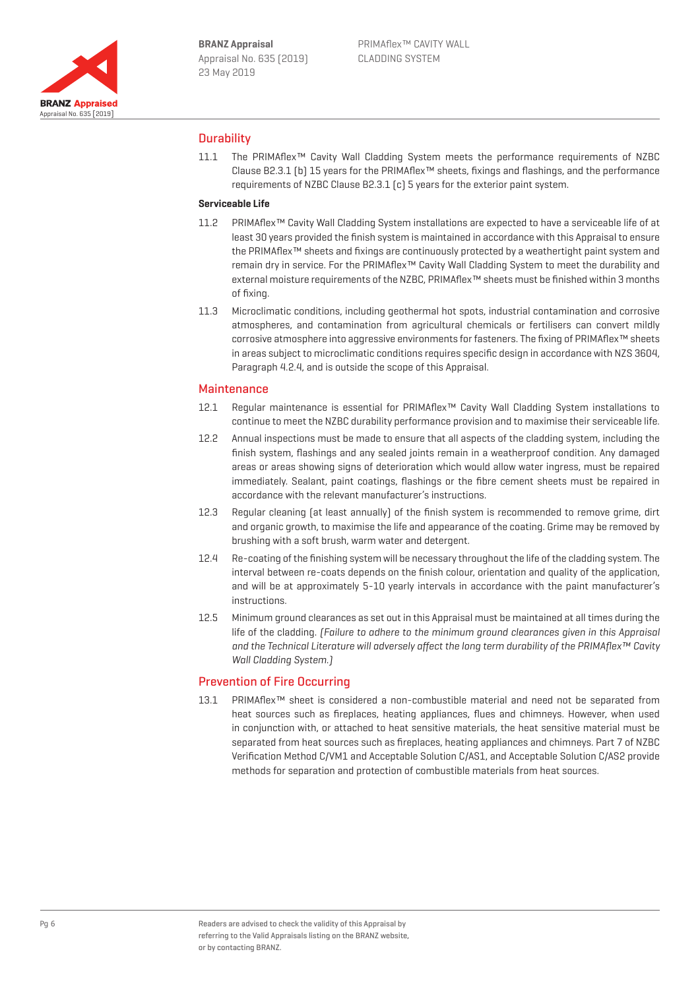

## **Durability**

11.1 The PRIMAflex™ Cavity Wall Cladding System meets the performance requirements of NZBC Clause B2.3.1 (b) 15 years for the PRIMAflex™ sheets, fixings and flashings, and the performance requirements of NZBC Clause B2.3.1 (c) 5 years for the exterior paint system.

#### **Serviceable Life**

- 11.2 PRIMAflex™ Cavity Wall Cladding System installations are expected to have a serviceable life of at least 30 years provided the finish system is maintained in accordance with this Appraisal to ensure the PRIMAflex™ sheets and fixings are continuously protected by a weathertight paint system and remain dry in service. For the PRIMAflex™ Cavity Wall Cladding System to meet the durability and external moisture requirements of the NZBC, PRIMAflex™ sheets must be finished within 3 months of fixing.
- 11.3 Microclimatic conditions, including geothermal hot spots, industrial contamination and corrosive atmospheres, and contamination from agricultural chemicals or fertilisers can convert mildly corrosive atmosphere into aggressive environments for fasteners. The fixing of PRIMAflex™ sheets in areas subject to microclimatic conditions requires specific design in accordance with NZS 3604, Paragraph 4.2.4, and is outside the scope of this Appraisal.

#### **Maintenance**

- 12.1 Regular maintenance is essential for PRIMAflex™ Cavity Wall Cladding System installations to continue to meet the NZBC durability performance provision and to maximise their serviceable life.
- 12.2 Annual inspections must be made to ensure that all aspects of the cladding system, including the finish system, flashings and any sealed joints remain in a weatherproof condition. Any damaged areas or areas showing signs of deterioration which would allow water ingress, must be repaired immediately. Sealant, paint coatings, flashings or the fibre cement sheets must be repaired in accordance with the relevant manufacturer's instructions.
- 12.3 Reqular cleaning (at least annually) of the finish system is recommended to remove grime, dirt and organic growth, to maximise the life and appearance of the coating. Grime may be removed by brushing with a soft brush, warm water and detergent.
- 12.4 Re-coating of the finishing system will be necessary throughout the life of the cladding system. The interval between re-coats depends on the finish colour, orientation and quality of the application, and will be at approximately 5-10 yearly intervals in accordance with the paint manufacturer's instructions.
- 12.5 Minimum ground clearances as set out in this Appraisal must be maintained at all times during the life of the cladding. (Failure to adhere to the minimum ground clearances given in this Appraisal and the Technical Literature will adversely affect the long term durability of the PRIMAflex™ Cavity Wall Cladding System.)

#### Prevention of Fire Occurring

13.1 PRIMAflex™ sheet is considered a non-combustible material and need not be separated from heat sources such as fireplaces, heating appliances, flues and chimneys. However, when used in conjunction with, or attached to heat sensitive materials, the heat sensitive material must be separated from heat sources such as fireplaces, heating appliances and chimneys. Part 7 of NZBC Verification Method C/VM1 and Acceptable Solution C/AS1, and Acceptable Solution C/AS2 provide methods for separation and protection of combustible materials from heat sources.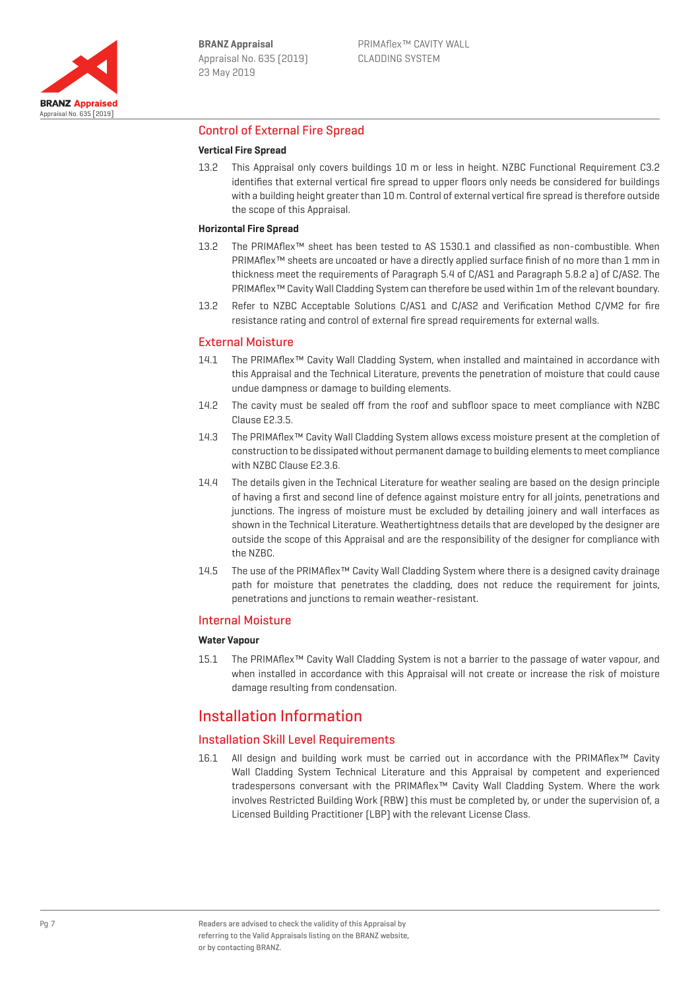

### Control of External Fire Spread

#### **Vertical Fire Spread**

13.2 This Appraisal only covers buildings 10 m or less in height. NZBC Functional Requirement C3.2 identifies that external vertical fire spread to upper floors only needs be considered for buildings with a building height greater than 10 m. Control of external vertical fire spread is therefore outside the scope of this Appraisal.

#### **Horizontal Fire Spread**

- 13.2 The PRIMAflex™ sheet has been tested to AS 1530.1 and classified as non-combustible. When PRIMAflex™ sheets are uncoated or have a directly applied surface finish of no more than 1 mm in thickness meet the requirements of Paragraph 5.4 of C/AS1 and Paragraph 5.8.2 a) of C/AS2. The PRIMAflex™ Cavity Wall Cladding System can therefore be used within 1m of the relevant boundary.
- 13.2 Refer to NZBC Acceptable Solutions C/AS1 and C/AS2 and Verification Method C/VM2 for fire resistance rating and control of external fire spread requirements for external walls.

#### External Moisture

- 14.1 The PRIMAflex™ Cavity Wall Cladding System, when installed and maintained in accordance with this Appraisal and the Technical Literature, prevents the penetration of moisture that could cause undue dampness or damage to building elements.
- 14.2 The cavity must be sealed off from the roof and subfloor space to meet compliance with NZBC Clause E2.3.5.
- 14.3 The PRIMAflex™ Cavity Wall Cladding System allows excess moisture present at the completion of construction to be dissipated without permanent damage to building elements to meet compliance with NZBC Clause E2.3.6.
- 14.4 The details given in the Technical Literature for weather sealing are based on the design principle of having a first and second line of defence against moisture entry for all joints, penetrations and junctions. The ingress of moisture must be excluded by detailing joinery and wall interfaces as shown in the Technical Literature. Weathertightness details that are developed by the designer are outside the scope of this Appraisal and are the responsibility of the designer for compliance with the NZBC.
- 14.5 The use of the PRIMAflex™ Cavity Wall Cladding System where there is a designed cavity drainage path for moisture that penetrates the cladding, does not reduce the requirement for joints, penetrations and junctions to remain weather-resistant.

#### Internal Moisture

#### **Water Vapour**

15.1 The PRIMAflex™ Cavity Wall Cladding System is not a barrier to the passage of water vapour, and when installed in accordance with this Appraisal will not create or increase the risk of moisture damage resulting from condensation.

## Installation Information

#### Installation Skill Level Requirements

16.1 All design and building work must be carried out in accordance with the PRIMAflex™ Cavity Wall Cladding System Technical Literature and this Appraisal by competent and experienced tradespersons conversant with the PRIMAflex™ Cavity Wall Cladding System. Where the work involves Restricted Building Work (RBW) this must be completed by, or under the supervision of, a Licensed Building Practitioner (LBP) with the relevant License Class.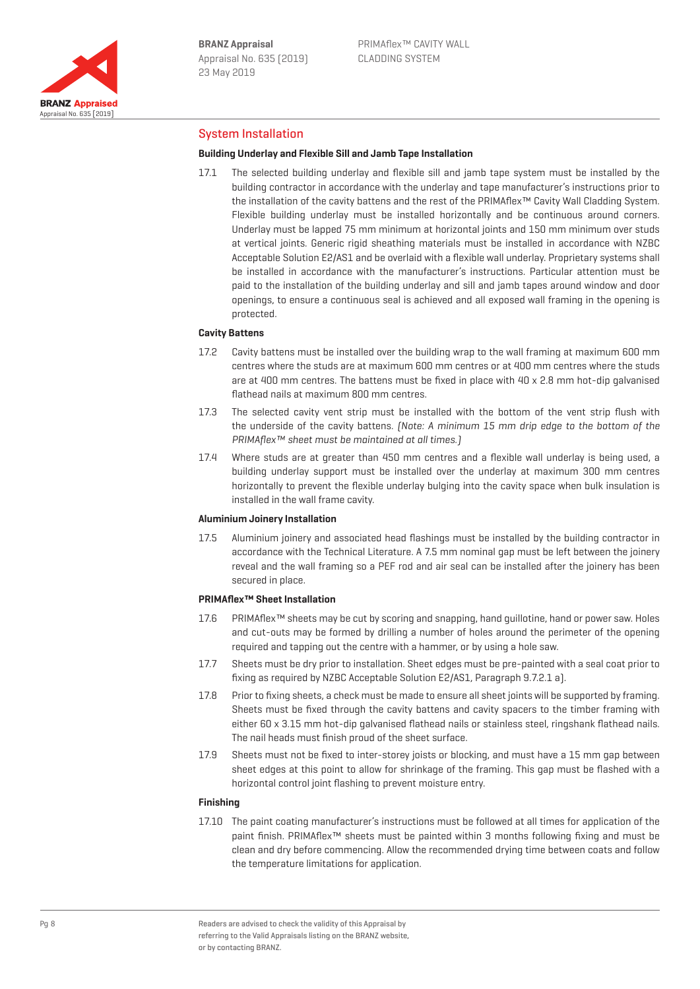

### System Installation

#### **Building Underlay and Flexible Sill and Jamb Tape Installation**

17.1 The selected building underlay and flexible sill and jamb tape system must be installed by the building contractor in accordance with the underlay and tape manufacturer's instructions prior to the installation of the cavity battens and the rest of the PRIMAflex™ Cavity Wall Cladding System. Flexible building underlay must be installed horizontally and be continuous around corners. Underlay must be lapped 75 mm minimum at horizontal joints and 150 mm minimum over studs at vertical joints. Generic rigid sheathing materials must be installed in accordance with NZBC Acceptable Solution E2/AS1 and be overlaid with a flexible wall underlay. Proprietary systems shall be installed in accordance with the manufacturer's instructions. Particular attention must be paid to the installation of the building underlay and sill and jamb tapes around window and door openings, to ensure a continuous seal is achieved and all exposed wall framing in the opening is protected.

#### **Cavity Battens**

- 17.2 Cavity battens must be installed over the building wrap to the wall framing at maximum 600 mm centres where the studs are at maximum 600 mm centres or at 400 mm centres where the studs are at 400 mm centres. The battens must be fixed in place with 40 x 2.8 mm hot-dip galvanised flathead nails at maximum 800 mm centres.
- 17.3 The selected cavity vent strip must be installed with the bottom of the vent strip flush with the underside of the cavity battens. (Note: A minimum 15 mm drip edge to the bottom of the PRIMAflex™ sheet must be maintained at all times.]
- 17.4 Where studs are at greater than 450 mm centres and a flexible wall underlay is being used, a building underlay support must be installed over the underlay at maximum 300 mm centres horizontally to prevent the flexible underlay bulging into the cavity space when bulk insulation is installed in the wall frame cavity.

#### **Aluminium Joinery Installation**

17.5 Aluminium joinery and associated head flashings must be installed by the building contractor in accordance with the Technical Literature. A 7.5 mm nominal gap must be left between the joinery reveal and the wall framing so a PEF rod and air seal can be installed after the joinery has been secured in place.

#### **PRIMAflex™ Sheet Installation**

- 17.6 PRIMAflex™ sheets may be cut by scoring and snapping, hand guillotine, hand or power saw. Holes and cut-outs may be formed by drilling a number of holes around the perimeter of the opening required and tapping out the centre with a hammer, or by using a hole saw.
- 17.7 Sheets must be dry prior to installation. Sheet edges must be pre-painted with a seal coat prior to fixing as required by NZBC Acceptable Solution E2/AS1, Paragraph 9.7.2.1 a).
- 17.8 Prior to fixing sheets, a check must be made to ensure all sheet joints will be supported by framing. Sheets must be fixed through the cavity battens and cavity spacers to the timber framing with either 60 x 3.15 mm hot-dip galvanised flathead nails or stainless steel, ringshank flathead nails. The nail heads must finish proud of the sheet surface.
- 17.9 Sheets must not be fixed to inter-storey joists or blocking, and must have a 15 mm gap between sheet edges at this point to allow for shrinkage of the framing. This gap must be flashed with a horizontal control joint flashing to prevent moisture entry.

#### **Finishing**

17.10 The paint coating manufacturer's instructions must be followed at all times for application of the paint finish. PRIMAflex™ sheets must be painted within 3 months following fixing and must be clean and dry before commencing. Allow the recommended drying time between coats and follow the temperature limitations for application.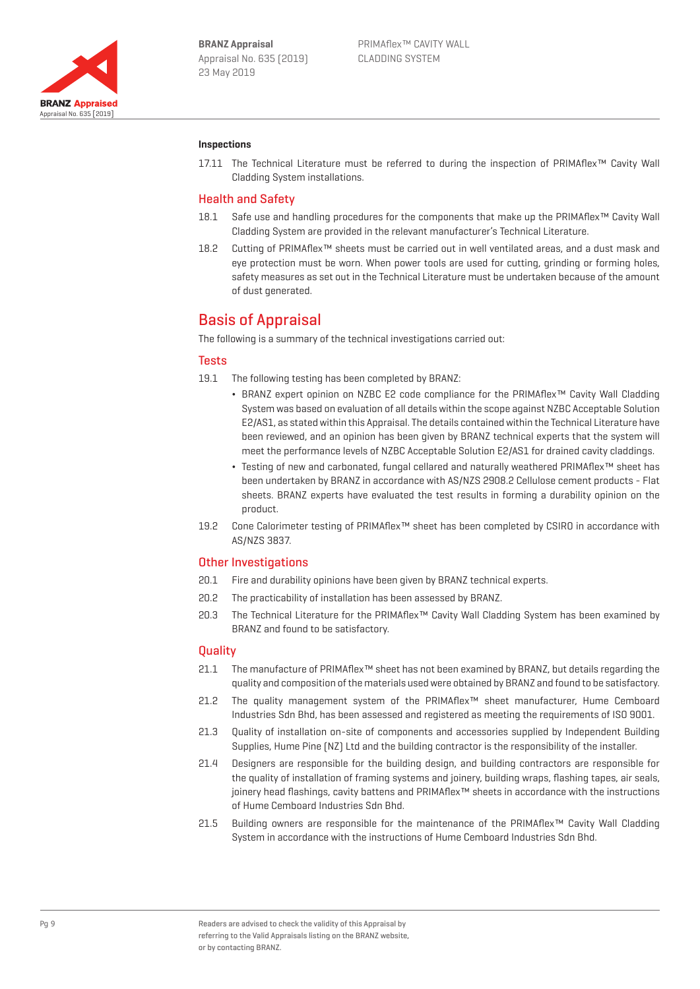

#### **Inspections**

17.11 The Technical Literature must be referred to during the inspection of PRIMAflex™ Cavity Wall Cladding System installations.

#### Health and Safety

- 18.1 Safe use and handling procedures for the components that make up the PRIMAflex™ Cavity Wall Cladding System are provided in the relevant manufacturer's Technical Literature.
- 18.2 Cutting of PRIMAflex™ sheets must be carried out in well ventilated areas, and a dust mask and eye protection must be worn. When power tools are used for cutting, grinding or forming holes, safety measures as set out in the Technical Literature must be undertaken because of the amount of dust generated.

## Basis of Appraisal

The following is a summary of the technical investigations carried out:

#### **Tests**

- 19.1 The following testing has been completed by BRANZ:
	- ¬ BRANZ expert opinion on NZBC E2 code compliance for the PRIMAflex™ Cavity Wall Cladding System was based on evaluation of all details within the scope against NZBC Acceptable Solution E2/AS1, as stated within this Appraisal. The details contained within the Technical Literature have been reviewed, and an opinion has been given by BRANZ technical experts that the system will meet the performance levels of NZBC Acceptable Solution E2/AS1 for drained cavity claddings.
	- ¬ Testing of new and carbonated, fungal cellared and naturally weathered PRIMAflex™ sheet has been undertaken by BRANZ in accordance with AS/NZS 2908.2 Cellulose cement products - Flat sheets. BRANZ experts have evaluated the test results in forming a durability opinion on the product.
- 19.2 Cone Calorimeter testing of PRIMAflex™ sheet has been completed by CSIRO in accordance with AS/NZS 3837.

#### Other Investigations

- 20.1 Fire and durability opinions have been given by BRANZ technical experts.
- 20.2 The practicability of installation has been assessed by BRANZ.
- 20.3 The Technical Literature for the PRIMAflex™ Cavity Wall Cladding System has been examined by BRANZ and found to be satisfactory.

#### **Quality**

- 21.1 The manufacture of PRIMAflex™ sheet has not been examined by BRANZ, but details regarding the quality and composition of the materials used were obtained by BRANZ and found to be satisfactory.
- 21.2 The quality management system of the PRIMAflex™ sheet manufacturer, Hume Cemboard Industries Sdn Bhd, has been assessed and registered as meeting the requirements of ISO 9001.
- 21.3 Quality of installation on-site of components and accessories supplied by Independent Building Supplies, Hume Pine (NZ) Ltd and the building contractor is the responsibility of the installer.
- 21.4 Designers are responsible for the building design, and building contractors are responsible for the quality of installation of framing systems and joinery, building wraps, flashing tapes, air seals, joinery head flashings, cavity battens and PRIMAflex™ sheets in accordance with the instructions of Hume Cemboard Industries Sdn Bhd.
- 21.5 Building owners are responsible for the maintenance of the PRIMAflex™ Cavity Wall Cladding System in accordance with the instructions of Hume Cemboard Industries Sdn Bhd.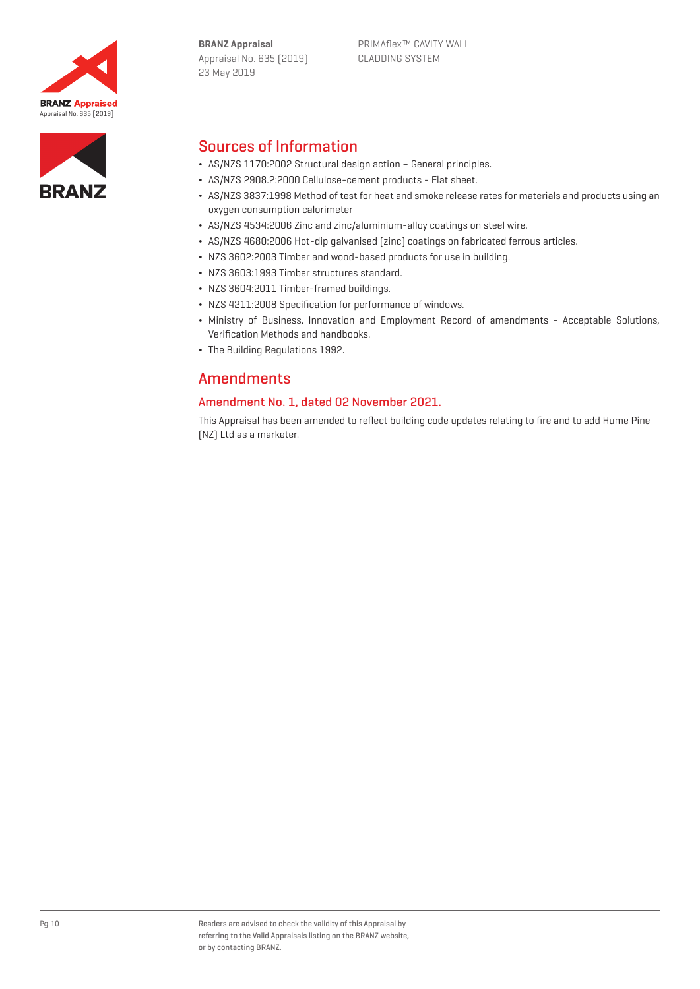



## Sources of Information

- ¬ AS/NZS 1170:2002 Structural design action General principles.
- ¬ AS/NZS 2908.2:2000 Cellulose-cement products Flat sheet.
- ¬ AS/NZS 3837:1998 Method of test for heat and smoke release rates for materials and products using an oxygen consumption calorimeter
- ¬ AS/NZS 4534:2006 Zinc and zinc/aluminium-alloy coatings on steel wire.
- ¬ AS/NZS 4680:2006 Hot-dip galvanised (zinc) coatings on fabricated ferrous articles.
- ¬ NZS 3602:2003 Timber and wood-based products for use in building.
- ¬ NZS 3603:1993 Timber structures standard.
- ¬ NZS 3604:2011 Timber-framed buildings.
- ¬ NZS 4211:2008 Specification for performance of windows.
- ¬ Ministry of Business, Innovation and Employment Record of amendments Acceptable Solutions, Verification Methods and handbooks.
- ¬ The Building Regulations 1992.

# Amendments

## Amendment No. 1, dated 02 November 2021.

This Appraisal has been amended to reflect building code updates relating to fire and to add Hume Pine (NZ) Ltd as a marketer.